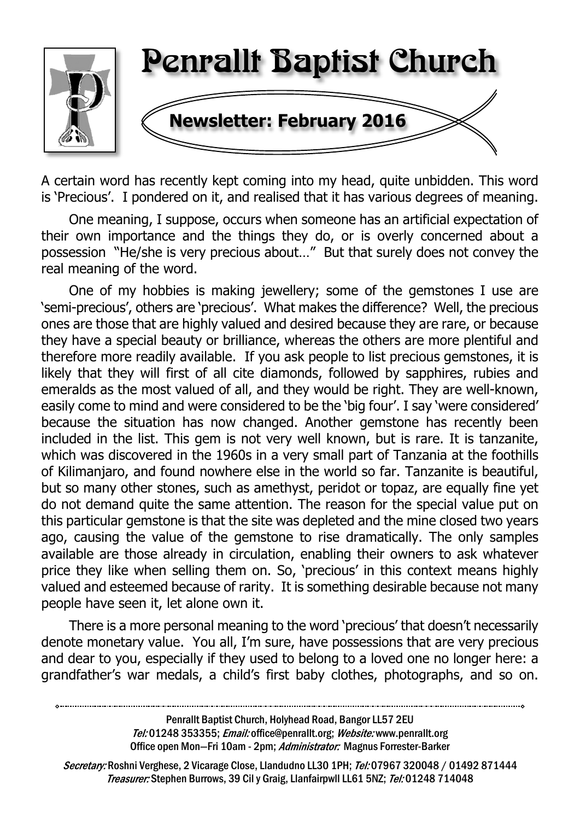

A certain word has recently kept coming into my head, quite unbidden. This word is 'Precious'. I pondered on it, and realised that it has various degrees of meaning.

One meaning, I suppose, occurs when someone has an artificial expectation of their own importance and the things they do, or is overly concerned about a possession "He/she is very precious about…" But that surely does not convey the real meaning of the word.

One of my hobbies is making jewellery; some of the gemstones I use are 'semi-precious', others are 'precious'. What makes the difference? Well, the precious ones are those that are highly valued and desired because they are rare, or because they have a special beauty or brilliance, whereas the others are more plentiful and therefore more readily available. If you ask people to list precious gemstones, it is likely that they will first of all cite diamonds, followed by sapphires, rubies and emeralds as the most valued of all, and they would be right. They are well-known, easily come to mind and were considered to be the 'big four'. I say 'were considered' because the situation has now changed. Another gemstone has recently been included in the list. This gem is not very well known, but is rare. It is tanzanite, which was discovered in the 1960s in a very small part of Tanzania at the foothills of Kilimanjaro, and found nowhere else in the world so far. Tanzanite is beautiful, but so many other stones, such as amethyst, peridot or topaz, are equally fine yet do not demand quite the same attention. The reason for the special value put on this particular gemstone is that the site was depleted and the mine closed two years ago, causing the value of the gemstone to rise dramatically. The only samples available are those already in circulation, enabling their owners to ask whatever price they like when selling them on. So, 'precious' in this context means highly valued and esteemed because of rarity. It is something desirable because not many people have seen it, let alone own it.

There is a more personal meaning to the word 'precious' that doesn't necessarily denote monetary value. You all, I'm sure, have possessions that are very precious and dear to you, especially if they used to belong to a loved one no longer here: a grandfather's war medals, a child's first baby clothes, photographs, and so on.

Secretary: Roshni Verghese, 2 Vicarage Close, Llandudno LL30 1PH; Tel: 07967 320048 / 01492 871444 Treasurer: Stephen Burrows, 39 Cil y Graig, Llanfairpwll LL61 5NZ; Tel: 01248 714048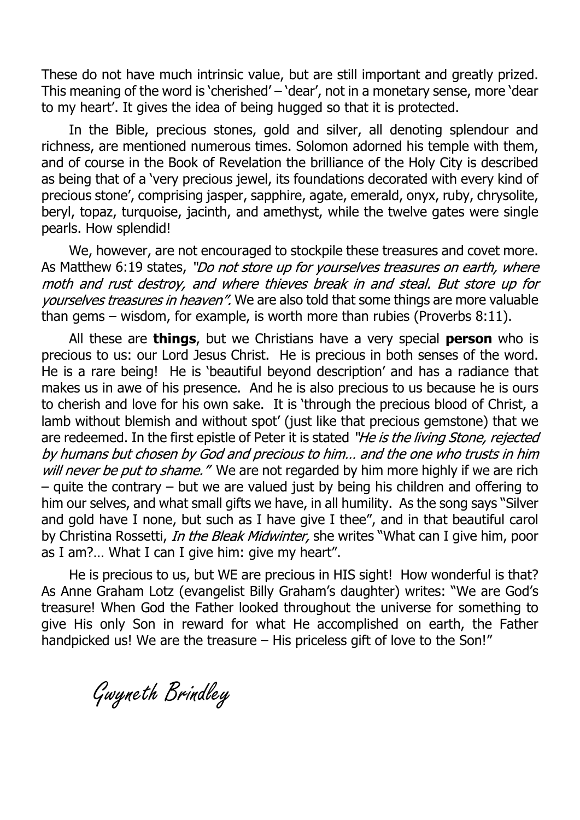These do not have much intrinsic value, but are still important and greatly prized. This meaning of the word is 'cherished' – 'dear', not in a monetary sense, more 'dear to my heart'. It gives the idea of being hugged so that it is protected.

In the Bible, precious stones, gold and silver, all denoting splendour and richness, are mentioned numerous times. Solomon adorned his temple with them, and of course in the Book of Revelation the brilliance of the Holy City is described as being that of a 'very precious jewel, its foundations decorated with every kind of precious stone', comprising jasper, sapphire, agate, emerald, onyx, ruby, chrysolite, beryl, topaz, turquoise, jacinth, and amethyst, while the twelve gates were single pearls. How splendid!

We, however, are not encouraged to stockpile these treasures and covet more. As Matthew 6:19 states, "Do not store up for yourselves treasures on earth, where moth and rust destroy, and where thieves break in and steal. But store up for yourselves treasures in heaven". We are also told that some things are more valuable than gems – wisdom, for example, is worth more than rubies (Proverbs 8:11).

All these are **things**, but we Christians have a very special **person** who is precious to us: our Lord Jesus Christ. He is precious in both senses of the word. He is a rare being! He is 'beautiful beyond description' and has a radiance that makes us in awe of his presence. And he is also precious to us because he is ours to cherish and love for his own sake. It is 'through the precious blood of Christ, a lamb without blemish and without spot' (just like that precious gemstone) that we are redeemed. In the first epistle of Peter it is stated "He is the living Stone, rejected by humans but chosen by God and precious to him... and the one who trusts in him will never be put to shame." We are not regarded by him more highly if we are rich – quite the contrary – but we are valued just by being his children and offering to him our selves, and what small gifts we have, in all humility. As the song says "Silver and gold have I none, but such as I have give I thee", and in that beautiful carol by Christina Rossetti, In the Bleak Midwinter, she writes "What can I give him, poor as I am?… What I can I give him: give my heart".

He is precious to us, but WE are precious in HIS sight! How wonderful is that? As Anne Graham Lotz (evangelist Billy Graham's daughter) writes: "We are God's treasure! When God the Father looked throughout the universe for something to give His only Son in reward for what He accomplished on earth, the Father handpicked us! We are the treasure – His priceless gift of love to the Son!"

Gwyneth Brindley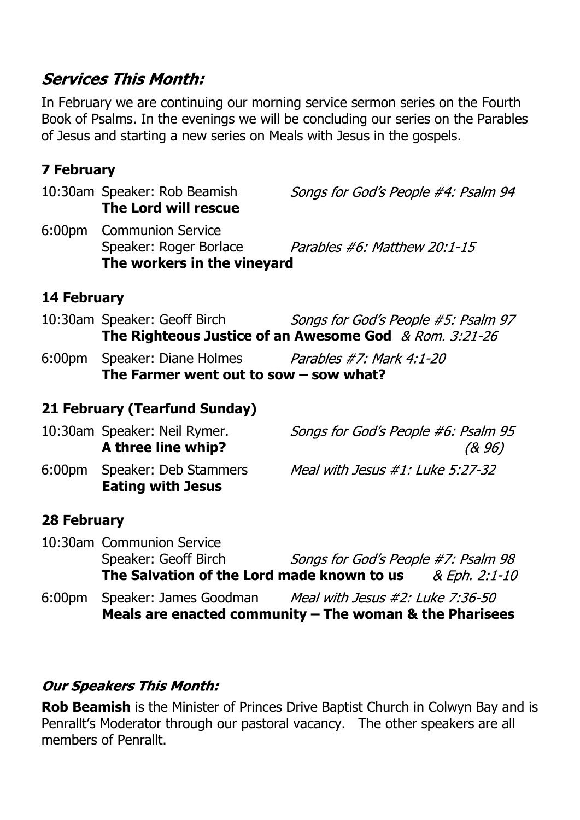### **Services This Month:**

In February we are continuing our morning service sermon series on the Fourth Book of Psalms. In the evenings we will be concluding our series on the Parables of Jesus and starting a new series on Meals with Jesus in the gospels.

#### **7 February**

10:30am Speaker: Rob Beamish Songs for God's People #4: Psalm 94 **The Lord will rescue** 6:00pm Communion Service Speaker: Roger Borlace Parables #6: Matthew 20:1-15 **The workers in the vineyard**

#### **14 February**

- 10:30am Speaker: Geoff Birch Songs for God's People #5: Psalm 97 **The Righteous Justice of an Awesome God**
- 6:00pm Speaker: Diane Holmes Parables #7: Mark 4:1-20 **The Farmer went out to sow – sow what?**

#### **21 February (Tearfund Sunday)**

|           | 10:30am Speaker: Neil Rymer.<br>A three line whip? | Songs for God's People #6: Psalm 95<br>(& 96) |
|-----------|----------------------------------------------------|-----------------------------------------------|
| $6:00$ pm | Speaker: Deb Stammers<br><b>Eating with Jesus</b>  | Meal with Jesus $\#1$ : Luke 5:27-32          |

#### **28 February**

| 6:00 <sub>pm</sub> | Speaker: James Goodman<br>Meals are enacted community $-$ The woman & the Pharisees | Meal with Jesus #2: Luke 7:36-50    |               |
|--------------------|-------------------------------------------------------------------------------------|-------------------------------------|---------------|
|                    | The Salvation of the Lord made known to us                                          |                                     | & Eph. 2:1-10 |
|                    | Speaker: Geoff Birch                                                                | Songs for God's People #7: Psalm 98 |               |
|                    | 10:30am Communion Service                                                           |                                     |               |

#### **Our Speakers This Month:**

**Rob Beamish** is the Minister of Princes Drive Baptist Church in Colwyn Bay and is Penrallt's Moderator through our pastoral vacancy. The other speakers are all members of Penrallt.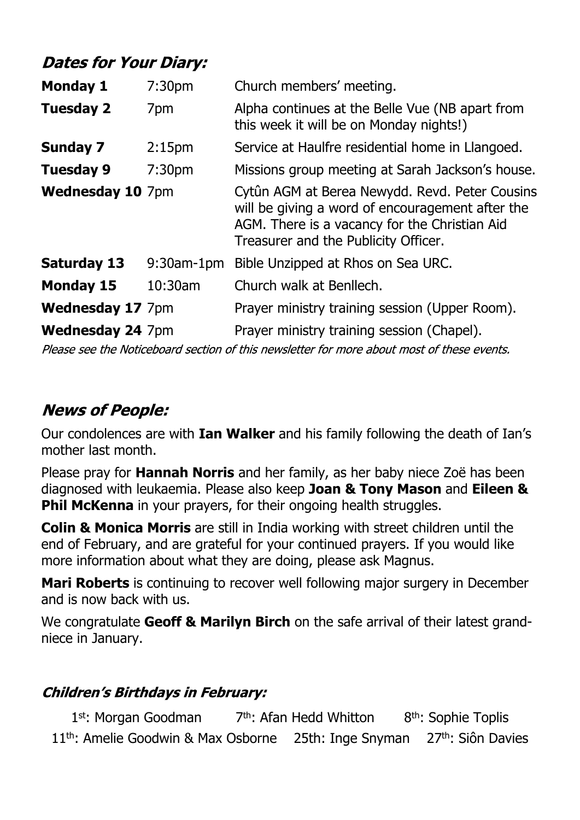# **Dates for Your Diary:**

| <b>Monday 1</b>         | 7:30 <sub>pm</sub> | Church members' meeting.                                                                                                                                                                    |
|-------------------------|--------------------|---------------------------------------------------------------------------------------------------------------------------------------------------------------------------------------------|
| <b>Tuesday 2</b>        | 7pm                | Alpha continues at the Belle Vue (NB apart from<br>this week it will be on Monday nights!)                                                                                                  |
| <b>Sunday 7</b>         | 2:15 <sub>pm</sub> | Service at Haulfre residential home in Llangoed.                                                                                                                                            |
| <b>Tuesday 9</b>        | 7:30 <sub>pm</sub> | Missions group meeting at Sarah Jackson's house.                                                                                                                                            |
| <b>Wednesday 10 7pm</b> |                    | Cytûn AGM at Berea Newydd. Revd. Peter Cousins<br>will be giving a word of encouragement after the<br>AGM. There is a vacancy for the Christian Aid<br>Treasurer and the Publicity Officer. |
| <b>Saturday 13</b>      | $9:30$ am-1pm      | Bible Unzipped at Rhos on Sea URC.                                                                                                                                                          |
| <b>Monday 15</b>        | 10:30am            | Church walk at Benllech.                                                                                                                                                                    |
| <b>Wednesday 17 7pm</b> |                    | Prayer ministry training session (Upper Room).                                                                                                                                              |
| <b>Wednesday 24 7pm</b> |                    | Prayer ministry training session (Chapel).                                                                                                                                                  |

Please see the Noticeboard section of this newsletter for more about most of these events.

# **News of People:**

Our condolences are with **Ian Walker** and his family following the death of Ian's mother last month.

Please pray for **Hannah Norris** and her family, as her baby niece Zoë has been diagnosed with leukaemia. Please also keep **Joan & Tony Mason** and **Eileen & Phil McKenna** in your prayers, for their ongoing health struggles.

**Colin & Monica Morris** are still in India working with street children until the end of February, and are grateful for your continued prayers. If you would like more information about what they are doing, please ask Magnus.

**Mari Roberts** is continuing to recover well following major surgery in December and is now back with us.

We congratulate **Geoff & Marilyn Birch** on the safe arrival of their latest grandniece in January.

#### **Children's Birthdays in February:**

1st: Morgan Goodman  $7<sup>th</sup>$ : Afan Hedd Whitton  $8<sup>th</sup>$ : Sophie Toplis 11<sup>th</sup>: Amelie Goodwin & Max Osborne 25th: Inge Snyman 27<sup>th</sup>: Siôn Davies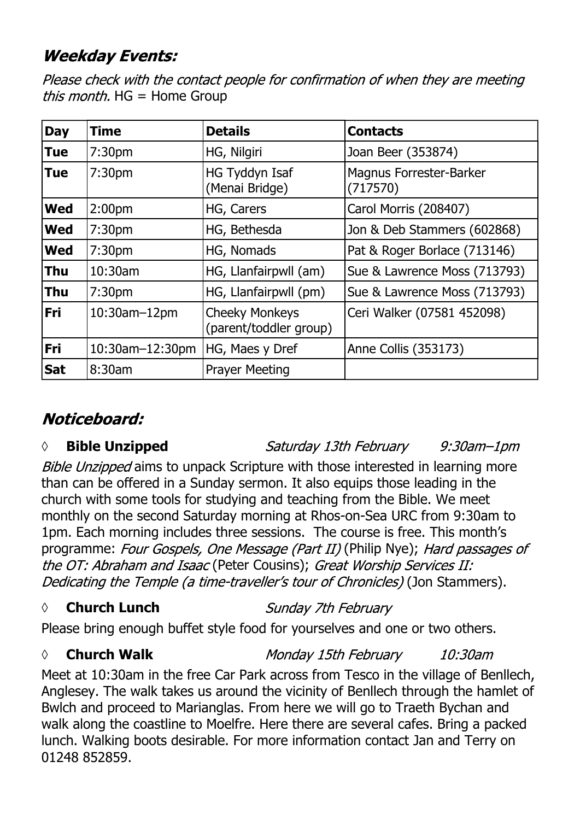# **Weekday Events:**

Please check with the contact people for confirmation of when they are meeting *this month.*  $HG = Home Group$ 

| <b>Day</b> | <b>Time</b>         | <b>Details</b>                                  | <b>Contacts</b>                            |
|------------|---------------------|-------------------------------------------------|--------------------------------------------|
| <b>Tue</b> | 7:30 <sub>pm</sub>  | HG, Nilgiri                                     | Joan Beer (353874)                         |
| <b>Tue</b> | 7:30 <sub>pm</sub>  | HG Tyddyn Isaf<br>(Menai Bridge)                | <b>Magnus Forrester-Barker</b><br>(717570) |
| <b>Wed</b> | 2:00 <sub>pm</sub>  | HG, Carers                                      | Carol Morris (208407)                      |
| <b>Wed</b> | 7:30 <sub>pm</sub>  | HG, Bethesda                                    | Jon & Deb Stammers (602868)                |
| <b>Wed</b> | 7:30 <sub>pm</sub>  | HG, Nomads                                      | Pat & Roger Borlace (713146)               |
| <b>Thu</b> | $10:30$ am          | HG, Llanfairpwll (am)                           | Sue & Lawrence Moss (713793)               |
| <b>Thu</b> | 7:30 <sub>pm</sub>  | HG, Llanfairpwll (pm)                           | Sue & Lawrence Moss (713793)               |
| <b>Fri</b> | $10:30$ am $-12$ pm | <b>Cheeky Monkeys</b><br>(parent/toddler group) | Ceri Walker (07581 452098)                 |
| Fri        | 10:30am-12:30pm     | HG, Maes y Dref                                 | Anne Collis (353173)                       |
| <b>Sat</b> | 8:30am              | <b>Prayer Meeting</b>                           |                                            |

# Noticeboard:

#### *◊* **Bible Unzipped**

Saturday 13th February  $9:30$ am $-1$ pm

Bible Unzipped aims to unpack Scripture with those interested in learning more than can be offered in a Sunday sermon. It also equips those leading in the church with some tools for studying and teaching from the Bible. We meet monthly on the second Saturday morning at Rhos-on-Sea URC from 9:30am to 1pm. Each morning includes three sessions. The course is free. This month's programme: Four Gospels, One Message (Part II) (Philip Nye); Hard passages of the OT: Abraham and Isaac (Peter Cousins); Great Worship Services II: Dedicating the Temple (a time-traveller's tour of Chronicles) (Jon Stammers).

#### *◊* **Church Lunch**

Sunday 7th February

Please bring enough buffet style food for yourselves and one or two others.

#### *◊* **Church Walk**

Monday 15th February 10:30am

Meet at 10:30am in the free Car Park across from Tesco in the village of Benllech, Anglesey. The walk takes us around the vicinity of Benllech through the hamlet of Bwlch and proceed to Marianglas. From here we will go to Traeth Bychan and walk along the coastline to Moelfre. Here there are several cafes. Bring a packed lunch. Walking boots desirable. For more information contact Jan and Terry on 01248 852859.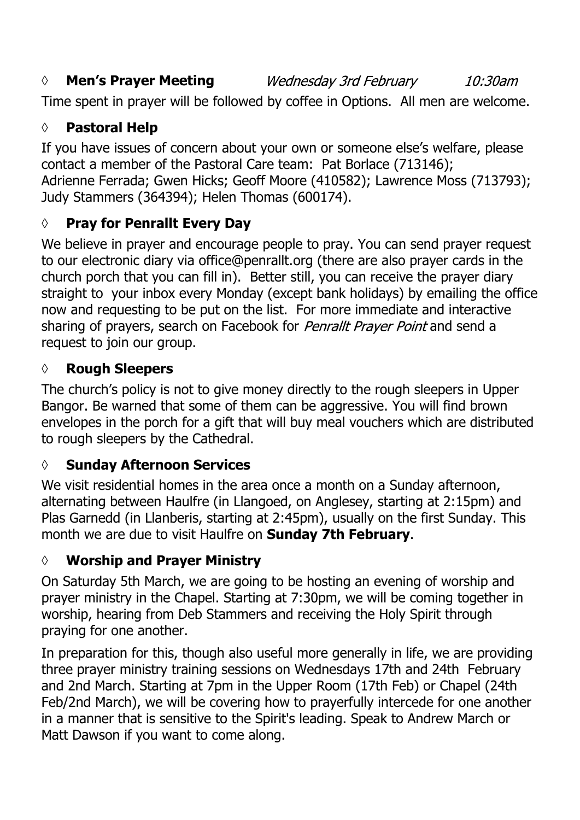#### *◊* **Men's Prayer Meeting** Wednesday 3rd February

 $10:30$ am

Time spent in prayer will be followed by coffee in Options. All men are welcome.

#### **◊ Pastoral Help**

If you have issues of concern about your own or someone else's welfare, please contact a member of the Pastoral Care team: Pat Borlace (713146); Adrienne Ferrada; Gwen Hicks; Geoff Moore (410582); Lawrence Moss (713793); Judy Stammers (364394); Helen Thomas (600174).

### **◊ Pray for Penrallt Every Day**

We believe in prayer and encourage people to pray. You can send prayer request to our electronic diary via office@penrallt.org (there are also prayer cards in the church porch that you can fill in). Better still, you can receive the prayer diary straight to your inbox every Monday (except bank holidays) by emailing the office now and requesting to be put on the list. For more immediate and interactive sharing of prayers, search on Facebook for *Penrallt Prayer Point* and send a request to join our group.

#### **◊ Rough Sleepers**

The church's policy is not to give money directly to the rough sleepers in Upper Bangor. Be warned that some of them can be aggressive. You will find brown envelopes in the porch for a gift that will buy meal vouchers which are distributed to rough sleepers by the Cathedral.

#### **◊ Sunday Afternoon Services**

We visit residential homes in the area once a month on a Sunday afternoon, alternating between Haulfre (in Llangoed, on Anglesey, starting at 2:15pm) and Plas Garnedd (in Llanberis, starting at 2:45pm), usually on the first Sunday. This month we are due to visit Haulfre on **Sunday 7th February**.

#### **◊ Worship and Prayer Ministry**

On Saturday 5th March, we are going to be hosting an evening of worship and prayer ministry in the Chapel. Starting at 7:30pm, we will be coming together in worship, hearing from Deb Stammers and receiving the Holy Spirit through praying for one another.

In preparation for this, though also useful more generally in life, we are providing three prayer ministry training sessions on Wednesdays 17th and 24th February and 2nd March. Starting at 7pm in the Upper Room (17th Feb) or Chapel (24th Feb/2nd March), we will be covering how to prayerfully intercede for one another in a manner that is sensitive to the Spirit's leading. Speak to Andrew March or Matt Dawson if you want to come along.